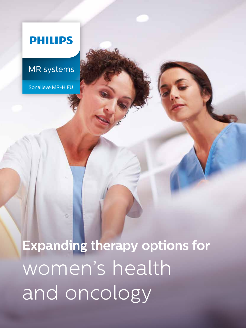### **PHILIPS**

### MR systems

Sonalleve MR-HIFU

**Expanding therapy options for**  women's health and oncology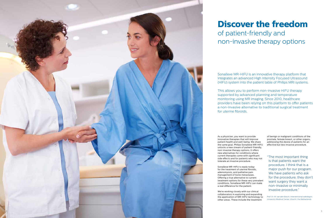As a physician, you want to provide innovative therapies that will improve patient health and well-being. We share the same goal. Philips Sonalleve MR-HIFU unlocks a new stream of patient-friendly, non-invasive therapy options. It offers new alternatives for conditions where current therapies come with significant side effects and for patients who may not tolerate an invasive procedure.

Sonalleve MR-HIFU is ready today for the treatment of uterine fibroids, adenomyosis, and palliative pain management of bone metastases. Offering a true alternative to current treatment options for these very prevalent conditions, Sonalleve MR-HIFU can make a real difference for the patient.

We're working closely with our clinical collaborators in exploring and expanding the application of MR-HIFU technology to other areas. These include the treatment

of benign or malignant conditions of the prostate, female breast, or other organs, addressing the desire of patients for an effective but less invasive procedure.

"The most important thing is that patients want the procedure. I think that is a major push for our program. We have patients who ask for the procedure; they don't want surgery they want a non-invasive or minimally invasive procedure."

Prof. Dr. M. van den Bosch, interventional radiologist, University Medical Center, Utrecht, the Netherlands

Sonalleve MR-HIFU is an innovative therapy platform that integrates an advanced High Intensity Focused Ultrasound (HIFU) system into the patient table of Philips MRI systems.

This allows you to perform non-invasive HIFU therapy supported by advanced planning and temperature monitoring using MR imaging. Since 2010, healthcare providers have been relying on this platform to offer patients a non-invasive alternative to traditional surgical treatment for uterine fibroids.

## **Discover the freedom** of patient-friendly and non-invasive therapy options

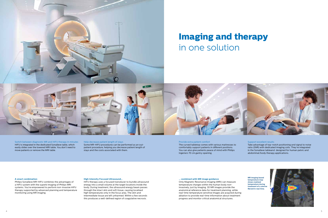### **A smart combination**

Philips Sonalleve MR-HIFU combines the advantages of a HIFU system with the superb imaging of Philips MRI systems. You're empowered to perform non-invasive HIFU therapy supported by advanced planning and temperature monitoring using MR imaging.

### **High Intensity Focused Ultrasound…**

HIFU therapy uses a focused transducer to bundle ultrasound energy into a small volume at the target locations inside the body. During treatment, the ultrasound energy beam passes through the intact skin and soft tissue, causing localized high temperatures only in the focus area. The skin and intermediate tissue are left unharmed. Within a few seconds this produces a well-defined region of coagulative necrosis.

### Support excellent results

Take advantage of top-notch positioning and signal to noise ratio (SNR) with dedicated imaging coils. They're integrated in the Sonalleve tableand designed for human pelvic and abdominal/body therapy applications.

Help decrease patient length of stays Some MR-HIFU procedures can be performed as an outpatient procedure, helping you decrease patient length of stays and the costs associated with them.

### Provide extra patient comfort

The curved tabletop comes with various mattresses to comfortably support patients in different positions. You can also give patients peace of mind with Philips Ingenia's 70 cm gantry opening.

Switch between diagnostic MR and HIFU therapy in minutes HIFU is integrated in the dedicated Sonalleve table, which easily slides over the lowered MRI table. You don't need to move patients or remove the MRI table.



## **Imaging and therapy** in one solution



**MR imaging based temperature map shows realized temperature during treatment of a uterine fibroid in real time.**



### **… combined with MR image guidance**

Only Magnetic Resonance Imaging (MRI) can measure temperature changes within the human body noninvasively, just by imaging. 3D MR images provide the anatomical reference data for treatment planning, while real-time temperature sensitive images are acquired during ablation to provide real-time information about treatment progress and monitor critical anatomical structures.



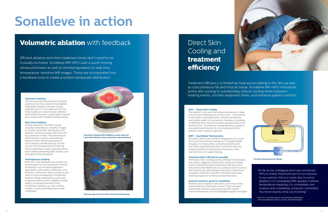## Cooling and **treatment efficiency**

### **Volumetric heating**

The focused ultrasound beam is rapidly scanned over the volume to be ablated. Ellipsoidal ablation volumes can be adjusted up to 16 mm wide and 40 mm long, leading to a macroscopic ablation zone within seconds. Large target volumes are covered with multiple heating events.

#### **Real-time feedback**

During treatment, the MRI scanner acquires temperature-sensitive images to monitor local heat distribution and identify critical structures that must not be subjected to heat. The temperature information is used to automatically enhance HIFU delivery parameters, thus creating a feedback loop based on real-time temperature monitoring. This is essential to keep treatment times short while maintaining high-quality care throughout the procedure.

#### **Homogeneous heating**

With real-time feedback the system can compensate for local variations in tissue properties, such as inhomogeneous absorption, attenuation, perfusion, and diffusion. Otherwise, these variations can lead to local overheating or insufficient heating. While overheating could pose undesired effects and in addition would lead to increased treatment time, insufficient heating, e.g. near cooling vessels, could potentially leave tissue unablated.



### **DISC – Direct Skin Cooling**

The patient's skin over the ultrasound window is kept at a constant temperature of about 20°C. The window in the table is equipped with a double membrane, and cooled water is circulating in-between, providing an efficient heat sink and constant temperature to the patient's skin. To enhance cooling efficiency, patients are positioned directly onto the membrane. Most patients won't require a gel pad.

> "As far as my colleagues and I are concerned, HIFU is a fairly important part of our practice. In our opinion, this is a novel step to tumor ablation; it is completely MRI-guided, it allows temperature mapping, it is completely noninvasive and completely computer-controlled. You know exactly what you're doing."

### **DMT – Dual Mode Thermometry**

Sonalleve offers full workflow integration of a novel fat tissue thermometry based on T2 weighted MR imaging. It is measuring cumulative heating over the whole treatment duration combined with the established Proton Resonance Frequency Shift thermometry for target heating.

### **Treatment that's efficient as possible**

With Direct Skin cooling and Dual Mode Thermometry the system suggests cooling times between heating events that both enhance treatment efficiency and help reduce the likelihood of an adverse event (such as skin lesions). By substantially reducing cooling times, Sonalleve with DISC and DMT minimizes one major contributing factor to the total treatment time.

### **Good for patients, good for workflows**

Patients and caregivers have told us how much they appreciate the cooled skin contact. Fast and easy positioning without a gel pad along with overall reduced treatment are also highlighted again and again.

**Volumetric heating with feedback creates large yet controlled ablation zones (schematic representation)**



**Thermal map of 12 mm cell in uterine fibroid therapy**

Efficient ablation and short treatment times don't need to be mutually exclusive. Sonalleve MR-HIFU uses a quick-moving ultrasound beam as well as monitoring based on real-time temperature-sensitive MR images. These are incorporated into a feedback loop to create a uniform temperate distribution.

> Treatment efficiency is limited by heat accumulating in the skin as well as subcutaneous fat and muscle tissue. Sonalleve MR-HIFU introduces active skin cooling to substantially reduce cooling times between heating events, shorten treatment times, and enhance patient comfort.

# **Sonalleve in action**

### **Volumetric ablation** with feedback **Direct Skin**



Prof. Dr. M. van den Bosch, interventional radiologist, University Medical Center, Utrecht, the Netherlands

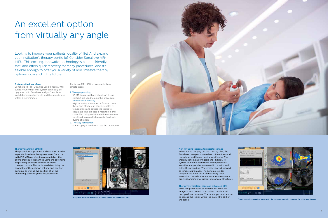**Non-invasive therapy: temperature maps** When you're carrying out the therapy plan, the Sonalleve therapy console directs the ultrasound transducer and its mechanical positioning. The therapy console also triggers the Philips MRI system to initiate acquisition of temperaturesensitive images which are used to monitor and guide the procedure. These images are displayed as temperature maps. The system provides temperature maps in six planes every three seconds to provide information about treatment progress and monitor critical anatomical structures.

**Therapy verification: contrast-enhanced MRI** After the procedure, contrast-enhanced MR images are acquired to visualize the ablated, non-perfused volume. These images can be used to assess the lesion while the patient is still on the table.



### **Therapy planning: 3D MRI**

Sonalleve MR-HIFU can be used in regular MRI suites. Your Philips MRI system can easily be upgraded with Sonalleve and you're able to switch between diagnostic and therapeutic use within a few minutes

The procedure is planned and executed via the separate Sonalleve therapy console. Once the initial 3D MRI planning images are taken, the entire procedure is planned using the extensive 3D planning software on the Sonalleve therapy console. This includes determining the geometry of the ablation volume and heating patterns, as well as the position of all the monitoring slices to guide the procedure.

**Comprehensive overview along with the necessary details required for high-quality care**

## An excellent option from virtually any angle

Looking to improve your patients' quality of life? And expand your institution's therapy portfolio? Consider Sonalleve MR-HIFU. This exciting, innovative technology is patient-friendly, fast, and offers quick recovery for many procedures. And it's flexible enough to offer you a variety of non-invasive therapy options, now and in the future.

#### **3-step guided workflow**

Perform a MR-HIFU procedure in three simple steps:

### 1. Therapy planning

- 3D MR images with excellent soft tissue contrast are used to plan the procedure.
- 2. Non-invasive therapy High intensity ultrasound is focused onto the region of interest, which elevates its temperature and causes the tissue to coagulate. This process is monitored and controlled using real-time MR temperature sensitive images which provide feedback during ablation.
- 3. Therapy verification
- MR imaging is used to assess the procedure.





**Easy and intuitive treatment planning based on 3D MR data sets**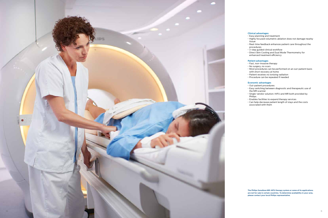### **Clinical advantages**

- Easy planning and treatment
- Highly focused volumetric ablation does not damage nearby tissue
- Real-time feedback enhances patient care throughout the procedures
- 3-step guided clinical workflow
- DIrect Skin Cooling and Dual Mode Thermometry for enhanced treatment efficiency

### **Patient advantages**

- Fast, non-invasive therapy
- No surgery, no scars
- Most procedures can be performed on an out-patient basis with short recovery at home
- Patient receives no ionizing radiation
- Procedure can be repeated if needed

### **Economic advantages**

- Out-patient procedures
- Easy switching between diagnostic and therapeutic use of the MR scanner
- Single-vendor solution: HIFU and MR both provided by Philips
- Enables facilities to expand therapy services
- Can help decrease patient length of stays and the costs associated with them

**The Philips Sonalleve MR-HIFU therapy system or some of its applications are not for sale in certain countries. To determine availability in your area, please contact your local Philips representative.**